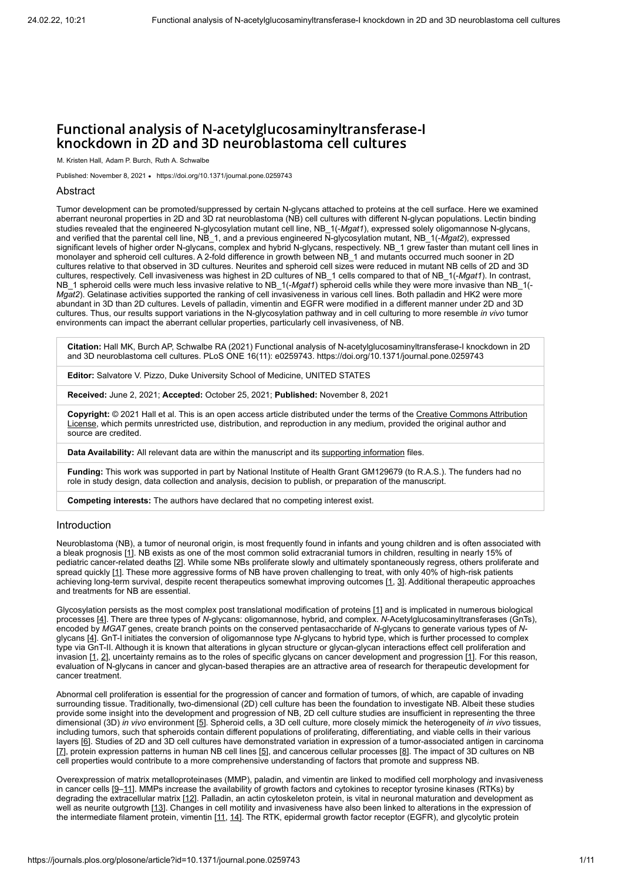# Functional analysis of N-acetylglucosaminyltransferase-I knockdown in 2D and 3D neuroblastoma cell cultures

M. Kristen Hall, Adam P. Burch, Ruth A. Schwalbe

Published: November 8, 2021 • <https://doi.org/10.1371/journal.pone.0259743>

# Abstract

Tumor development can be promoted/suppressed by certain N-glycans attached to proteins at the cell surface. Here we examined aberrant neuronal properties in 2D and 3D rat neuroblastoma (NB) cell cultures with different N-glycan populations. Lectin binding studies revealed that the engineered N-glycosylation mutant cell line, NB\_1(-*Mgat1*), expressed solely oligomannose N-glycans, and verified that the parental cell line, NB\_1, and a previous engineered N-glycosylation mutant, NB\_1(-*Mgat2*), expressed significant levels of higher order N-glycans, complex and hybrid N-glycans, respectively. NB\_1 grew faster than mutant cell lines in monolayer and spheroid cell cultures. A 2-fold difference in growth between NB\_1 and mutants occurred much sooner in 2D cultures relative to that observed in 3D cultures. Neurites and spheroid cell sizes were reduced in mutant NB cells of 2D and 3D cultures, respectively. Cell invasiveness was highest in 2D cultures of NB\_1 cells compared to that of NB\_1(-*Mgat1*). In contrast, NB\_1 spheroid cells were much less invasive relative to NB\_1(-*Mgat1*) spheroid cells while they were more invasive than NB\_1(- *Mgat2*). Gelatinase activities supported the ranking of cell invasiveness in various cell lines. Both palladin and HK2 were more abundant in 3D than 2D cultures. Levels of palladin, vimentin and EGFR were modified in a different manner under 2D and 3D cultures. Thus, our results support variations in the N-glycosylation pathway and in cell culturing to more resemble *in vivo* tumor environments can impact the aberrant cellular properties, particularly cell invasiveness, of NB.

**Citation:** Hall MK, Burch AP, Schwalbe RA (2021) Functional analysis of N-acetylglucosaminyltransferase-I knockdown in 2D and 3D neuroblastoma cell cultures. PLoS ONE 16(11): e0259743. https://doi.org/10.1371/journal.pone.0259743

**Editor:** Salvatore V. Pizzo, Duke University School of Medicine, UNITED STATES

**Received:** June 2, 2021; **Accepted:** October 25, 2021; **Published:** November 8, 2021

**Copyright:** [© 2021 Hall et al. This is an open access article distributed under the terms of the Creative Commons Attribution](http://creativecommons.org/licenses/by/4.0/) License, which permits unrestricted use, distribution, and reproduction in any medium, provided the original author and source are credited.

**Data Availability:** All relevant data are within the manuscript and its [supporting information](#page-8-0) files.

**Funding:** This work was supported in part by National Institute of Health Grant GM129679 (to R.A.S.). The funders had no role in study design, data collection and analysis, decision to publish, or preparation of the manuscript.

**Competing interests:** The authors have declared that no competing interest exist.

# Introduction

Neuroblastoma (NB), a tumor of neuronal origin, is most frequently found in infants and young children and is often associated with a bleak prognosis [\[1\]](#page-8-1). NB exists as one of the most common solid extracranial tumors in children, resulting in nearly 15% of pediatric cancer-related deaths [[2\]](#page-8-2). While some NBs proliferate slowly and ultimately spontaneously regress, others proliferate and spread quickly [[1](#page-8-1)]. These more aggressive forms of NB have proven challenging to treat, with only 40% of high-risk patients achieving long-term survival, despite recent therapeutics somewhat improving outcomes [[1](#page-8-1), [3](#page-8-3)]. Additional therapeutic approaches and treatments for NB are essential.

Glycosylation persists as the most complex post translational modification of proteins [[1](#page-8-1)] and is implicated in numerous biological processes [[4\]](#page-8-4). There are three types of *N*-glycans: oligomannose, hybrid, and complex. *N*-Acetylglucosaminyltransferases (GnTs), encoded by *MGAT* genes, create branch points on the conserved pentasaccharide of *N*-glycans to generate various types of *N*glycans [[4](#page-8-4)]. GnT-I initiates the conversion of oligomannose type *N*-glycans to hybrid type, which is further processed to complex type via GnT-II. Although it is known that alterations in glycan structure or glycan-glycan interactions effect cell proliferation and invasion [[1](#page-8-1), [2](#page-8-2)], uncertainty remains as to the roles of specific glycans on cancer development and progression [[1](#page-8-1)]. For this reason, evaluation of N-glycans in cancer and glycan-based therapies are an attractive area of research for therapeutic development for cancer treatment.

Abnormal cell proliferation is essential for the progression of cancer and formation of tumors, of which, are capable of invading surrounding tissue. Traditionally, two-dimensional (2D) cell culture has been the foundation to investigate NB. Albeit these studies provide some insight into the development and progression of NB, 2D cell culture studies are insufficient in representing the three dimensional (3D) *in vivo* environment [\[5\]](#page-8-5). Spheroid cells, a 3D cell culture, more closely mimick the heterogeneity of *in vivo* tissues, including tumors, such that spheroids contain different populations of proliferating, differentiating, and viable cells in their various layers [[6](#page-8-6)]. Studies of 2D and 3D cell cultures have demonstrated variation in expression of a tumor-associated antigen in carcinoma [\[7\]](#page-8-7), protein expression patterns in human NB cell lines [[5](#page-8-5)], and cancerous cellular processes [\[8\]](#page-8-8). The impact of 3D cultures on NB cell properties would contribute to a more comprehensive understanding of factors that promote and suppress NB.

Overexpression of matrix metalloproteinases (MMP), paladin, and vimentin are linked to modified cell morphology and invasiveness in cancer cells [\[9–](#page-8-9)[11\]](#page-8-10). MMPs increase the availability of growth factors and cytokines to receptor tyrosine kinases (RTKs) by degrading the extracellular matrix [[12\]](#page-9-0). Palladin, an actin cytoskeleton protein, is vital in neuronal maturation and development as well as neurite outgrowth [[13\]](#page-9-1). Changes in cell motility and invasiveness have also been linked to alterations in the expression of the intermediate filament protein, vimentin [[11,](#page-8-10) [14\]](#page-9-2). The RTK, epidermal growth factor receptor (EGFR), and glycolytic protein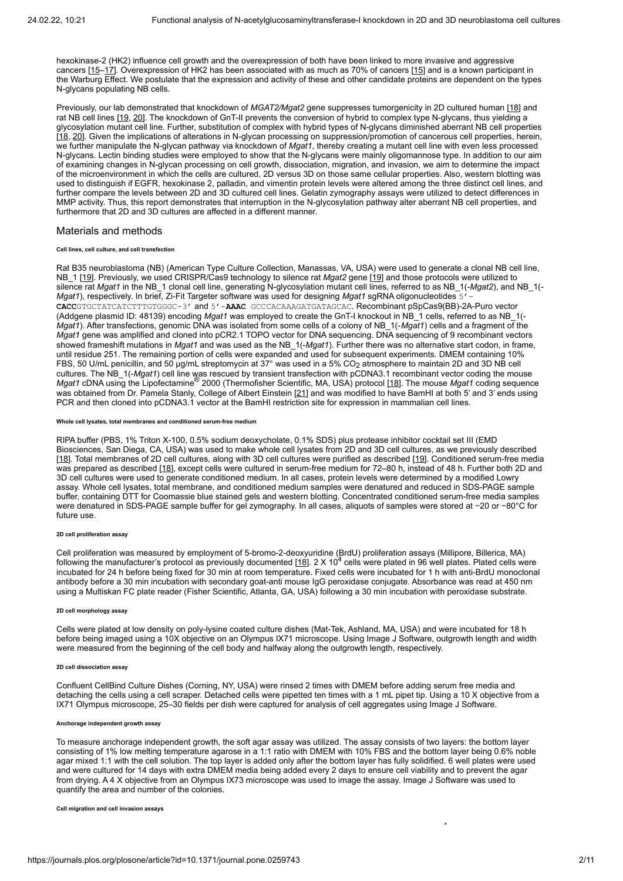hexokinase-2 (HK2) influence cell growth and the overexpression of both have been linked to more invasive and aggressive cancers [[15–](#page-9-3)[17\]](#page-9-4). Overexpression of HK2 has been associated with as much as 70% of cancers [\[15](#page-9-3)] and is a known participant in the Warburg Effect. We postulate that the expression and activity of these and other candidate proteins are dependent on the types N-glycans populating NB cells.

Previously, our lab demonstrated that knockdown of *MGAT2/Mgat2* gene suppresses tumorgenicity in 2D cultured human [[18\]](#page-9-5) and rat NB cell lines [\[19,](#page-9-6) [20\]](#page-9-7). The knockdown of GnT-II prevents the conversion of hybrid to complex type N-glycans, thus yielding a glycosylation mutant cell line. Further, substitution of complex with hybrid types of N-glycans diminished aberrant NB cell properties [\[18](#page-9-5), [20\]](#page-9-7). Given the implications of alterations in N-glycan processing on suppression/promotion of cancerous cell properties, herein, we further manipulate the N-glycan pathway via knockdown of *Mgat1*, thereby creating a mutant cell line with even less processed N-glycans. Lectin binding studies were employed to show that the N-glycans were mainly oligomannose type. In addition to our aim of examining changes in N-glycan processing on cell growth, dissociation, migration, and invasion, we aim to determine the impact of the microenvironment in which the cells are cultured, 2D versus 3D on those same cellular properties. Also, western blotting was used to distinguish if EGFR, hexokinase 2, palladin, and vimentin protein levels were altered among the three distinct cell lines, and further compare the levels between 2D and 3D cultured cell lines. Gelatin zymography assays were utilized to detect differences in MMP activity. Thus, this report demonstrates that interruption in the N-glycosylation pathway alter aberrant NB cell properties, and furthermore that 2D and 3D cultures are affected in a different manner.

# Materials and methods

### **Cell lines, cell culture, and cell transfection**

Rat B35 neuroblastoma (NB) (American Type Culture Collection, Manassas, VA, USA) were used to generate a clonal NB cell line, NB\_1 [[19\]](#page-9-6). Previously, we used CRISPR/Cas9 technology to silence rat *Mgat2* gene [[19](#page-9-6)] and those protocols were utilized to silence rat *Mgat1* in the NB\_1 clonal cell line, generating N-glycosylation mutant cell lines, referred to as NB\_1(*-Mgat2*), and NB\_1(*- Mgat1*), respectively. In brief, Zi-Fit Targeter software was used for designing *Mgat1* sgRNA oligonucleotides 5' **CACC**GTGCTATCATCTTTGTGGGC-3' and 5'-**AAAC** GCCCACAAAGATGATAGCAC. Recombinant pSpCas9(BB)-2A-Puro vector (Addgene plasmid ID: 48139) encoding *Mgat1* was employed to create the GnT-I knockout in NB\_1 cells, referred to as NB\_1(- *Mgat1*). After transfections, genomic DNA was isolated from some cells of a colony of NB\_1(-*Mgat1*) cells and a fragment of the *Mgat1* gene was amplified and cloned into pCR2.1 TOPO vector for DNA sequencing. DNA sequencing of 9 recombinant vectors showed frameshift mutations in *Mgat1* and was used as the NB\_1(-*Mgat1*). Further there was no alternative start codon, in frame, until residue 251. The remaining portion of cells were expanded and used for subsequent experiments. DMEM containing 10% FBS, 50 U/mL penicillin, and 50 µg/mL streptomycin at 37° was used in a 5% CO<sub>2</sub> atmosphere to maintain 2D and 3D NB cell cultures. The NB\_1(-*Mgat1*) cell line was rescued by transient transfection with pCDNA3.1 recombinant vector coding the mouse *Mgat1* cDNA using the Lipofectamine<sup>®</sup> 2000 (Thermofisher Scientific, MA, USA) protocol <u>[\[18](#page-9-5)</u>]. The mouse *Mgat1* coding sequence was obtained from Dr. Pamela Stanly, College of Albert Einstein [[21](#page-9-8)] and was modified to have BamHI at both 5' and 3' ends using PCR and then cloned into pCDNA3.1 vector at the BamHI restriction site for expression in mammalian cell lines.

#### **Whole cell lysates, total membranes and conditioned serum-free medium**

RIPA buffer (PBS, 1% Triton X-100, 0.5% sodium deoxycholate, 0.1% SDS) plus protease inhibitor cocktail set III (EMD Biosciences, San Diega, CA, USA) was used to make whole cell lysates from 2D and 3D cell cultures, as we previously described [\[18](#page-9-5)]. Total membranes of 2D cell cultures, along with 3D cell cultures were purified as described [[19\]](#page-9-6). Conditioned serum-free media was prepared as described [[18\]](#page-9-5), except cells were cultured in serum-free medium for 72–80 h, instead of 48 h. Further both 2D and 3D cell cultures were used to generate conditioned medium. In all cases, protein levels were determined by a modified Lowry assay. Whole cell lysates, total membrane, and conditioned medium samples were denatured and reduced in SDS-PAGE sample buffer, containing DTT for Coomassie blue stained gels and western blotting. Concentrated conditioned serum-free media samples were denatured in SDS-PAGE sample buffer for gel zymography. In all cases, aliquots of samples were stored at −20 or −80°C for future use.

# **2D cell proliferation assay**

Cell proliferation was measured by employment of 5-bromo-2-deoxyuridine (BrdU) proliferation assays (Millipore, Billerica, MA) following the manufacturer's protocol as previously documented [<u>18]</u>. 2 X 10<sup>4</sup> cells were plated in 96 well plates. Plated cells were incubated for 24 h before being fixed for 30 min at room temperature. Fixed cells were incubated for 1 h with anti-BrdU monoclonal antibody before a 30 min incubation with secondary goat-anti mouse IgG peroxidase conjugate. Absorbance was read at 450 nm using a Multiskan FC plate reader (Fisher Scientific, Atlanta, GA, USA) following a 30 min incubation with peroxidase substrate.

#### **2D cell morphology assay**

Cells were plated at low density on poly-lysine coated culture dishes (Mat-Tek, Ashland, MA, USA) and were incubated for 18 h before being imaged using a 10X objective on an Olympus IX71 microscope. Using Image J Software, outgrowth length and width were measured from the beginning of the cell body and halfway along the outgrowth length, respectively.

#### **2D cell dissociation assay**

Confluent CellBind Culture Dishes (Corning, NY, USA) were rinsed 2 times with DMEM before adding serum free media and detaching the cells using a cell scraper. Detached cells were pipetted ten times with a 1 mL pipet tip. Using a 10 X objective from a IX71 Olympus microscope, 25–30 fields per dish were captured for analysis of cell aggregates using Image J Software.

#### **Anchorage independent growth assay**

To measure anchorage independent growth, the soft agar assay was utilized. The assay consists of two layers: the bottom layer consisting of 1% low melting temperature agarose in a 1:1 ratio with DMEM with 10% FBS and the bottom layer being 0.6% noble agar mixed 1:1 with the cell solution. The top layer is added only after the bottom layer has fully solidified. 6 well plates were used and were cultured for 14 days with extra DMEM media being added every 2 days to ensure cell viability and to prevent the agar from drying. A 4 X objective from an Olympus IX73 microscope was used to image the assay. Image J Software was used to quantify the area and number of the colonies.

# **Cell migration and cell invasion assays**

4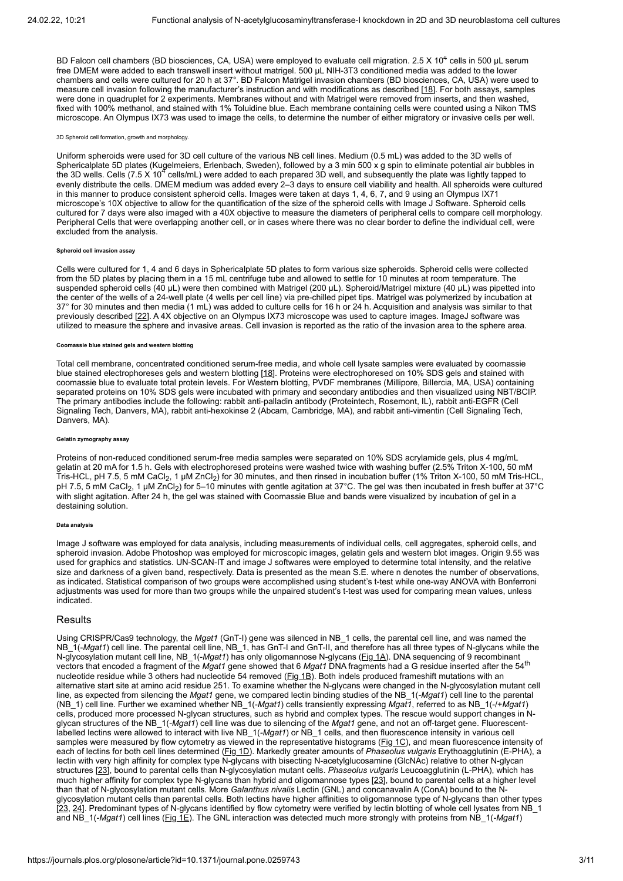BD Falcon cell chambers (BD biosciences, CA, USA) were employed to evaluate cell migration. 2.5 X 10<sup>4</sup> cells in 500 µL serum free DMEM were added to each transwell insert without matrigel. 500 μL NIH-3T3 conditioned media was added to the lower chambers and cells were cultured for 20 h at 37°. BD Falcon Matrigel invasion chambers (BD biosciences, CA, USA) were used to measure cell invasion following the manufacturer's instruction and with modifications as described [[18\]](#page-9-5). For both assays, samples were done in quadruplet for 2 experiments. Membranes without and with Matrigel were removed from inserts, and then washed, fixed with 100% methanol, and stained with 1% Toluidine blue. Each membrane containing cells were counted using a Nikon TMS microscope. An Olympus IX73 was used to image the cells, to determine the number of either migratory or invasive cells per well.

#### 3D Spheroid cell formation, growth and morphology.

Uniform spheroids were used for 3D cell culture of the various NB cell lines. Medium (0.5 mL) was added to the 3D wells of Sphericalplate 5D plates (Kugelmeiers, Erlenbach, Sweden), followed by a 3 min 500 x g spin to eliminate potential air bubbles in the 3D wells. Cells (7.5 X 10<sup>4</sup> cells/mL) were added to each prepared 3D well, and subsequently the plate was lightly tapped to evenly distribute the cells. DMEM medium was added every 2–3 days to ensure cell viability and health. All spheroids were cultured in this manner to produce consistent spheroid cells. Images were taken at days 1, 4, 6, 7, and 9 using an Olympus IX71 microscope's 10X objective to allow for the quantification of the size of the spheroid cells with Image J Software. Spheroid cells cultured for 7 days were also imaged with a 40X objective to measure the diameters of peripheral cells to compare cell morphology. Peripheral Cells that were overlapping another cell, or in cases where there was no clear border to define the individual cell, were excluded from the analysis.

# **Spheroid cell invasion assay**

Cells were cultured for 1, 4 and 6 days in Sphericalplate 5D plates to form various size spheroids. Spheroid cells were collected from the 5D plates by placing them in a 15 mL centrifuge tube and allowed to settle for 10 minutes at room temperature. The suspended spheroid cells (40 μL) were then combined with Matrigel (200 μL). Spheroid/Matrigel mixture (40 μL) was pipetted into the center of the wells of a 24-well plate (4 wells per cell line) via pre-chilled pipet tips. Matrigel was polymerized by incubation at 37° for 30 minutes and then media (1 mL) was added to culture cells for 16 h or 24 h. Acquisition and analysis was similar to that previously described [[22\]](#page-9-9). A 4X objective on an Olympus IX73 microscope was used to capture images. ImageJ software was utilized to measure the sphere and invasive areas. Cell invasion is reported as the ratio of the invasion area to the sphere area.

#### **Coomassie blue stained gels and western blotting**

Total cell membrane, concentrated conditioned serum-free media, and whole cell lysate samples were evaluated by coomassie blue stained electrophoreses gels and western blotting [[18\]](#page-9-5). Proteins were electrophoresed on 10% SDS gels and stained with coomassie blue to evaluate total protein levels. For Western blotting, PVDF membranes (Millipore, Billercia, MA, USA) containing separated proteins on 10% SDS gels were incubated with primary and secondary antibodies and then visualized using NBT/BCIP. The primary antibodies include the following: rabbit anti-palladin antibody (Proteintech, Rosemont, IL), rabbit anti-EGFR (Cell Signaling Tech, Danvers, MA), rabbit anti-hexokinse 2 (Abcam, Cambridge, MA), and rabbit anti-vimentin (Cell Signaling Tech, Danvers, MA).

# **Gelatin zymography assay**

Proteins of non-reduced conditioned serum-free media samples were separated on 10% SDS acrylamide gels, plus 4 mg/mL gelatin at 20 mA for 1.5 h. Gels with electrophoresed proteins were washed twice with washing buffer (2.5% Triton X-100, 50 mM Tris-HCL, pH 7.5, 5 mM CaCl $_2$ , 1 µM ZnCl $_2$ ) for 30 minutes, and then rinsed in incubation buffer (1% Triton X-100, 50 mM Tris-HCL, pH 7.5, 5 mM CaCl<sub>2</sub>, 1 μM ZnCl<sub>2</sub>) for 5–10 minutes with gentle agitation at 37°C. The gel was then incubated in fresh buffer at 37°C with slight agitation. After 24 h, the gel was stained with Coomassie Blue and bands were visualized by incubation of gel in a destaining solution.

# **Data analysis**

Image J software was employed for data analysis, including measurements of individual cells, cell aggregates, spheroid cells, and spheroid invasion. Adobe Photoshop was employed for microscopic images, gelatin gels and western blot images. Origin 9.55 was used for graphics and statistics. UN-SCAN-IT and image J softwares were employed to determine total intensity, and the relative size and darkness of a given band, respectively. Data is presented as the mean S.E. where n denotes the number of observations, as indicated. Statistical comparison of two groups were accomplished using student's t-test while one-way ANOVA with Bonferroni adjustments was used for more than two groups while the unpaired student's t-test was used for comparing mean values, unless indicated.

# Results

Using CRISPR/Cas9 technology, the *Mgat1* (GnT-I) gene was silenced in NB\_1 cells, the parental cell line, and was named the NB\_1(-*Mgat1*) cell line. The parental cell line, NB\_1, has GnT-I and GnT-II, and therefore has all three types of N-glycans while the N-glycosylation mutant cell line, NB\_1(-*Mgat1*) has only oligomannose N-glycans [\(Fig 1A\)](#page-3-0). DNA sequencing of 9 recombinant vectors that encoded a fragment of the *Mgat1* gene showed that 6 *Mgat1* DNA fragments had a G residue inserted after the 54 thnucleotide residue while 3 others had nucleotide 54 removed [\(Fig 1B\)](#page-3-0). Both indels produced frameshift mutations with an alternative start site at amino acid residue 251. To examine whether the N-glycans were changed in the N-glycosylation mutant cell line, as expected from silencing the *Mgat1* gene, we compared lectin binding studies of the NB\_1(*-Mgat1*) cell line to the parental (NB\_1) cell line. Further we examined whether NB\_1(-*Mgat1*) cells transiently expressing *Mgat1*, referred to as NB\_1(-/+*Mgat1*) cells, produced more processed N-glycan structures, such as hybrid and complex types. The rescue would support changes in Nglycan structures of the NB\_1(*-Mgat1*) cell line was due to silencing of the *Mgat1* gene, and not an off-target gene. Fluorescentlabelled lectins were allowed to interact with live NB\_1(*-Mgat1*) or NB\_1 cells, and then fluorescence intensity in various cell samples were measured by flow cytometry as viewed in the representative histograms [\(Fig 1C\)](#page-3-0), and mean fluorescence intensity of each of lectins for both cell lines determined ([Fig 1D](#page-3-0)). Markedly greater amounts of *Phaseolus vulgaris* Erythoagglutinin (E-PHA), a lectin with very high affinity for complex type N-glycans with bisecting N-acetylglucosamine (GlcNAc) relative to other N-glycan structures [[23\]](#page-9-10), bound to parental cells than N-glycosylation mutant cells. *Phaseolus vulgaris* Leucoagglutinin (L-PHA), which has much higher affinity for complex type N-glycans than hybrid and oligomannose types [\[23](#page-9-10)], bound to parental cells at a higher level than that of N-glycosylation mutant cells. More *Galanthus nivalis* Lectin (GNL) and concanavalin A (ConA) bound to the Nglycosylation mutant cells than parental cells. Both lectins have higher affinities to oligomannose type of N-glycans than other types  $[23, 24]$  $[23, 24]$  $[23, 24]$ . Predominant types of N-glycans identified by flow cytometry were verified by lectin blotting of whole cell lysates from NB\_1 and NB\_1(*-Mgat1*) cell lines ([Fig 1E\)](#page-3-0). The GNL interaction was detected much more strongly with proteins from NB\_1(*-Mgat1*)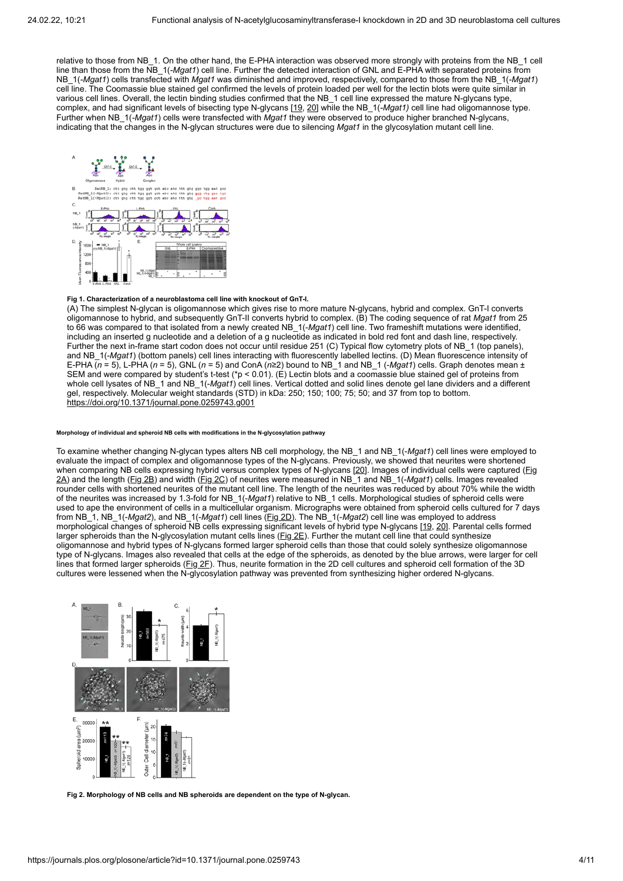relative to those from NB\_1. On the other hand, the E-PHA interaction was observed more strongly with proteins from the NB\_1 cell line than those from the NB\_1(*-Mgat1*) cell line. Further the detected interaction of GNL and E-PHA with separated proteins from NB\_1(*-Mgat1*) cells transfected with *Mgat1* was diminished and improved, respectively, compared to those from the NB\_1(*-Mgat1*) cell line. The Coomassie blue stained gel confirmed the levels of protein loaded per well for the lectin blots were quite similar in various cell lines. Overall, the lectin binding studies confirmed that the NB\_1 cell line expressed the mature N-glycans type, complex, and had significant levels of bisecting type N-glycans [[19](#page-9-6), [20](#page-9-7)] while the NB\_1(*-Mgat1)* cell line had oligomannose type. Further when NB\_1(*-Mgat1*) cells were transfected with *Mgat1* they were observed to produce higher branched N-glycans, indicating that the changes in the N-glycan structures were due to silencing *Mgat1* in the glycosylation mutant cell line.

<span id="page-3-0"></span>

# **Fig 1. Characterization of a neuroblastoma cell line with knockout of GnT-I.**

(A) The simplest N-glycan is oligomannose which gives rise to more mature N-glycans, hybrid and complex. GnT-I converts oligomannose to hybrid, and subsequently GnT-II converts hybrid to complex. (B) The coding sequence of rat *Mgat1* from 25 to 66 was compared to that isolated from a newly created NB\_1(-*Mgat1*) cell line. Two frameshift mutations were identified, including an inserted g nucleotide and a deletion of a g nucleotide as indicated in bold red font and dash line, respectively. Further the next in-frame start codon does not occur until residue 251 (C) Typical flow cytometry plots of NB\_1 (top panels), and NB\_1(-*Mgat1*) (bottom panels) cell lines interacting with fluorescently labelled lectins. (D) Mean fluorescence intensity of E-PHA ( $n = 5$ ), L-PHA ( $n = 5$ ), GNL ( $n = 5$ ) and ConA ( $n \ge 2$ ) bound to NB\_1 and NB\_1 (-*Mgat1*) cells. Graph denotes mean  $\pm$ SEM and were compared by student's t-test (\*p < 0.01). (E) Lectin blots and a coomassie blue stained gel of proteins from whole cell lysates of NB\_1 and NB\_1(-*Mgat1*) cell lines. Vertical dotted and solid lines denote gel lane dividers and a different gel, respectively. Molecular weight standards (STD) in kDa: 250; 150; 100; 75; 50; and 37 from top to bottom. <https://doi.org/10.1371/journal.pone.0259743.g001>

#### **Morphology of individual and spheroid NB cells with modifications in the N-glycosylation pathway**

To examine whether changing N-glycan types alters NB cell morphology, the NB\_1 and NB\_1(-*Mgat1*) cell lines were employed to evaluate the impact of complex and oligomannose types of the N-glycans. Previously, we showed that neurites were shortened [when comparing NB cells expressing hybrid versus complex types of N-glycans \[20\]. Images of individual cells were captured \(Fig](#page-3-1) 2A) and the length ([Fig 2B\)](#page-3-1) and width ([Fig 2C](#page-3-1)) of neurites were measured in NB\_1 and NB\_1(-*Mgat1*) cells. Images revealed rounder cells with shortened neurites of the mutant cell line. The length of the neurites was reduced by about 70% while the width of the neurites was increased by 1.3-fold for NB\_1(-*Mgat1*) relative to NB\_1 cells. Morphological studies of spheroid cells were used to ape the environment of cells in a multicellular organism. Micrographs were obtained from spheroid cells cultured for 7 days from NB\_1, NB\_1(-*Mgat2*), and NB\_1(-*Mgat1*) cell lines [\(Fig 2D\)](#page-3-1). The NB\_1(-*Mgat2*) cell line was employed to address morphological changes of spheroid NB cells expressing significant levels of hybrid type N-glycans <u>[[19,](#page-9-6) [20](#page-9-7)</u>]. Parental cells formed larger spheroids than the N-glycosylation mutant cells lines ([Fig 2E\)](#page-3-1). Further the mutant cell line that could synthesize oligomannose and hybrid types of N-glycans formed larger spheroid cells than those that could solely synthesize oligomannose type of N-glycans. Images also revealed that cells at the edge of the spheroids, as denoted by the blue arrows, were larger for cell lines that formed larger spheroids ([Fig 2F\)](#page-3-1). Thus, neurite formation in the 2D cell cultures and spheroid cell formation of the 3D cultures were lessened when the N-glycosylation pathway was prevented from synthesizing higher ordered N-glycans.

<span id="page-3-1"></span>

**Fig 2. Morphology of NB cells and NB spheroids are dependent on the type of N-glycan.**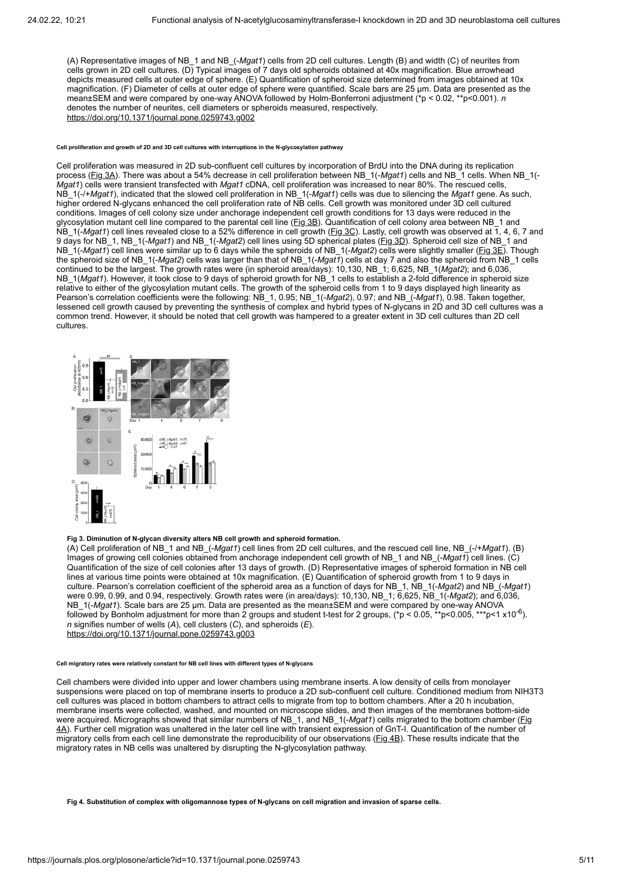(A) Representative images of NB\_1 and NB\_(-*Mgat1*) cells from 2D cell cultures. Length (B) and width (C) of neurites from cells grown in 2D cell cultures. (D) Typical images of 7 days old spheroids obtained at 40x magnification. Blue arrowhead depicts measured cells at outer edge of sphere. (E) Quantification of spheroid size determined from images obtained at 10x magnification. (F) Diameter of cells at outer edge of sphere were quantified. Scale bars are 25 μm. Data are presented as the mean±SEM and were compared by one-way ANOVA followed by Holm-Bonferroni adjustment (\*p < 0.02, \*\*p<0.001). *n* denotes the number of neurites, cell diameters or spheroids measured, respectively. <https://doi.org/10.1371/journal.pone.0259743.g002>

#### **Cell proliferation and growth of 2D and 3D cell cultures with interruptions in the N-glycosylation pathway**

Cell proliferation was measured in 2D sub-confluent cell cultures by incorporation of BrdU into the DNA during its replication process ([Fig 3A](#page-4-0)). There was about a 54% decrease in cell proliferation between NB\_1(-*Mgat1*) cells and NB\_1 cells. When NB\_1(-*Mgat1*) cells were transient transfected with *Mgat1* cDNA, cell proliferation was increased to near 80%. The rescued cells, NB\_1(-/+*Mgat1*), indicated that the slowed cell proliferation in NB\_1(-*Mgat1*) cells was due to silencing the *Mgat1* gene. As such, higher ordered N-glycans enhanced the cell proliferation rate of NB cells. Cell growth was monitored under 3D cell cultured conditions. Images of cell colony size under anchorage independent cell growth conditions for 13 days were reduced in the glycosylation mutant cell line compared to the parental cell line ([Fig 3B\)](#page-4-0). Quantification of cell colony area between NB\_1 and NB 1(-*Mgat1*) cell lines revealed close to a 52% difference in cell growth ([Fig 3C\)](#page-4-0). Lastly, cell growth was observed at 1, 4, 6, 7 and 9 days for NB\_1, NB\_1(-*Mgat1*) and NB\_1(-*Mgat2*) cell lines using 5D spherical plates ([Fig 3D](#page-4-0)). Spheroid cell size of NB\_1 and NB\_1(-*Mgat1*) cell lines were similar up to 6 days while the spheroids of NB\_1(-*Mgat2*) cells were slightly smaller ([Fig 3E\)](#page-4-0). Though the spheroid size of NB\_1(-*Mgat2*) cells was larger than that of NB\_1(-*Mgat1*) cells at day 7 and also the spheroid from NB\_1 cells continued to be the largest. The growth rates were (in spheroid area/days): 10,130, NB\_1; 6,625, NB\_1(*Mgat2*); and 6,036, NB\_1(*Mgat1*). However, it took close to 9 days of spheroid growth for NB\_1 cells to establish a 2-fold difference in spheroid size relative to either of the glycosylation mutant cells. The growth of the spheroid cells from 1 to 9 days displayed high linearity as Pearson's correlation coefficients were the following: NB\_1, 0.95; NB\_1(-*Mgat2*), 0.97; and NB\_(-*Mgat1*), 0.98. Taken together, lessened cell growth caused by preventing the synthesis of complex and hybrid types of N-glycans in 2D and 3D cell cultures was a common trend. However, it should be noted that cell growth was hampered to a greater extent in 3D cell cultures than 2D cell cultures.

<span id="page-4-0"></span>

#### **Fig 3. Diminution of N-glycan diversity alters NB cell growth and spheroid formation.**

(A) Cell proliferation of NB\_1 and NB\_(-*Mgat1*) cell lines from 2D cell cultures, and the rescued cell line, NB\_(-/+*Mgat1*). (B) Images of growing cell colonies obtained from anchorage independent cell growth of NB\_1 and NB\_(-*Mgat1*) cell lines. (C) Quantification of the size of cell colonies after 13 days of growth. (D) Representative images of spheroid formation in NB cell lines at various time points were obtained at 10x magnification. (E) Quantification of spheroid growth from 1 to 9 days in culture. Pearson's correlation coefficient of the spheroid area as a function of days for NB\_1, NB\_1(-*Mgat2*) and NB\_(-*Mgat1*) were 0.99, 0.99, and 0.94, respectively. Growth rates were (in area/days): 10,130, NB\_1; 6,625, NB\_1(-*Mgat2*); and 6,036, NB\_1(-*Mgat1*). Scale bars are 25 μm. Data are presented as the mean±SEM and were compared by one-way ANOVA followed by Bonholm adjustment for more than 2 groups and student t-test for 2 groups, (\*p < 0.05, \*\*p<0.005, \*\*\*p<1 x10<sup>-6</sup>). *n* signifies number of wells (*A*), cell clusters (*C*), and spheroids (*E*). <https://doi.org/10.1371/journal.pone.0259743.g003>

#### **Cell migratory rates were relatively constant for NB cell lines with different types of N-glycans**

Cell chambers were divided into upper and lower chambers using membrane inserts. A low density of cells from monolayer suspensions were placed on top of membrane inserts to produce a 2D sub-confluent cell culture. Conditioned medium from NIH3T3 cell cultures was placed in bottom chambers to attract cells to migrate from top to bottom chambers. After a 20 h incubation, membrane inserts were collected, washed, and mounted on microscope slides, and then images of the membranes bottom-side were acquired. Micrographs showed that similar numbers of NB\_1, and NB\_1(-*Mgat1*) cells migrated to the bottom chamber (Fig [4A\). Further cell migration was unaltered in the later cell line with transient expression of GnT-I. Quantification of the number of](#page-4-1)  $\frac{1}{100}$  minimigratory cells from each cell line demonstrate the reproducibility of our observations (Eig 4B). These results indicate that the migratory rates in NB cells was unaltered by disrupting the N-glycosylation pathway.

<span id="page-4-1"></span>**Fig 4. Substitution of complex with oligomannose types of N-glycans on cell migration and invasion of sparse cells.**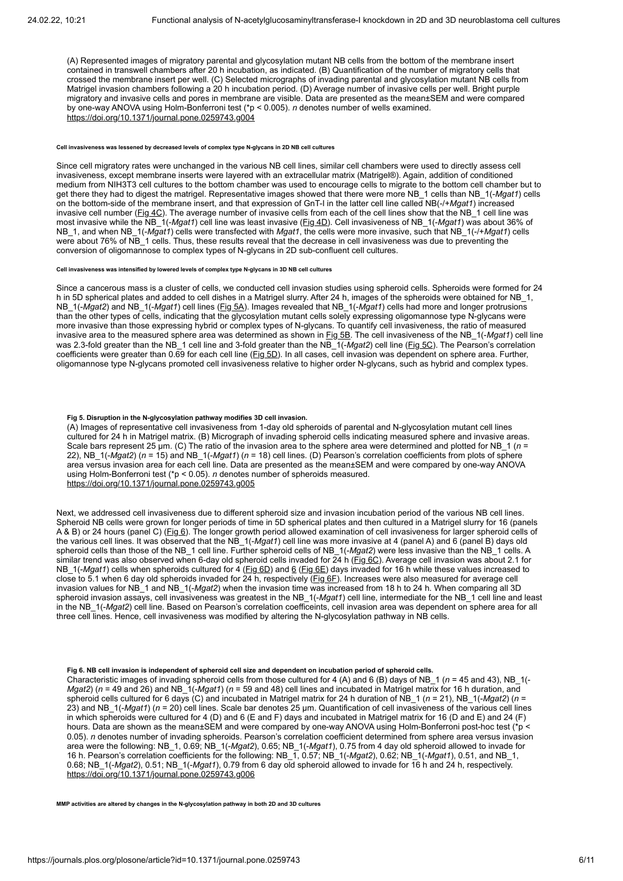(A) Represented images of migratory parental and glycosylation mutant NB cells from the bottom of the membrane insert contained in transwell chambers after 20 h incubation, as indicated. (B) Quantification of the number of migratory cells that crossed the membrane insert per well. (C) Selected micrographs of invading parental and glycosylation mutant NB cells from Matrigel invasion chambers following a 20 h incubation period. (D) Average number of invasive cells per well. Bright purple migratory and invasive cells and pores in membrane are visible. Data are presented as the mean±SEM and were compared by one-way ANOVA using Holm-Bonferroni test (\*p < 0.005). *n* denotes number of wells examined. <https://doi.org/10.1371/journal.pone.0259743.g004>

#### **Cell invasiveness was lessened by decreased levels of complex type N-glycans in 2D NB cell cultures**

Since cell migratory rates were unchanged in the various NB cell lines, similar cell chambers were used to directly assess cell invasiveness, except membrane inserts were layered with an extracellular matrix (Matrigel®). Again, addition of conditioned medium from NIH3T3 cell cultures to the bottom chamber was used to encourage cells to migrate to the bottom cell chamber but to get there they had to digest the matrigel. Representative images showed that there were more NB\_1 cells than NB\_1(-*Mgat1*) cells on the bottom-side of the membrane insert, and that expression of GnT-I in the latter cell line called NB(-/+*Mgat1*) increased invasive cell number (*[Fig 4C](#page-4-1)*). The average number of invasive cells from each of the cell lines show that the NB 1 cell line was most invasive while the NB\_1(-*Mgat1*) cell line was least invasive [\(Fig 4D](#page-4-1)). Cell invasiveness of NB\_1(-*Mgat1*) was about 36% of NB\_1, and when NB\_1(-*Mgat1*) cells were transfected with *Mgat1*, the cells were more invasive, such that NB\_1(-/+*Mgat1*) cells were about 76% of NB 1 cells. Thus, these results reveal that the decrease in cell invasiveness was due to preventing the conversion of oligomannose to complex types of N-glycans in 2D sub-confluent cell cultures.

# **Cell invasiveness was intensified by lowered levels of complex type N-glycans in 3D NB cell cultures**

Since a cancerous mass is a cluster of cells, we conducted cell invasion studies using spheroid cells. Spheroids were formed for 24 h in 5D spherical plates and added to cell dishes in a Matrigel slurry. After 24 h, images of the spheroids were obtained for NB\_1, NB\_1(-*Mgat2*) and NB\_1(-*Mgat1*) cell lines [\(Fig 5A](#page-5-0)). Images revealed that NB\_1(-*Mgat1*) cells had more and longer protrusions than the other types of cells, indicating that the glycosylation mutant cells solely expressing oligomannose type N-glycans were more invasive than those expressing hybrid or complex types of N-glycans. To quantify cell invasiveness, the ratio of measured invasive area to the measured sphere area was determined as shown in [Fig 5B.](#page-5-0) The cell invasiveness of the NB\_1(-*Mgat1*) cell line was 2.3-fold greater than the NB\_1 cell line and 3-fold greater than the NB\_1(-*Mgat2*) cell line [\(Fig 5C\)](#page-5-0). The Pearson's correlation coefficients were greater than 0.69 for each cell line ([Fig 5D](#page-5-0)). In all cases, cell invasion was dependent on sphere area. Further, oligomannose type N-glycans promoted cell invasiveness relative to higher order N-glycans, such as hybrid and complex types.

# <span id="page-5-0"></span>**Fig 5. Disruption in the N-glycosylation pathway modifies 3D cell invasion.**

(A) Images of representative cell invasiveness from 1-day old spheroids of parental and N-glycosylation mutant cell lines cultured for 24 h in Matrigel matrix. (B) Micrograph of invading spheroid cells indicating measured sphere and invasive areas. Scale bars represent 25 μm. (C) The ratio of the invasion area to the sphere area were determined and plotted for NB\_1 (*n* = 22), NB\_1(-*Mgat2*) (*n* = 15) and NB\_1(-*Mgat1*) (*n* = 18) cell lines. (D) Pearson's correlation coefficients from plots of sphere area versus invasion area for each cell line. Data are presented as the mean±SEM and were compared by one-way ANOVA using Holm-Bonferroni test (\*p < 0.05). *n* denotes number of spheroids measured. <https://doi.org/10.1371/journal.pone.0259743.g005>

Next, we addressed cell invasiveness due to different spheroid size and invasion incubation period of the various NB cell lines. Spheroid NB cells were grown for longer periods of time in 5D spherical plates and then cultured in a Matrigel slurry for 16 (panels A & B) or 24 hours (panel C) (*[Fig 6](#page-5-1)*). The longer growth period allowed examination of cell invasiveness for larger spheroid cells of the various cell lines. It was observed that the NB\_1(-*Mgat1*) cell line was more invasive at 4 (panel A) and 6 (panel B) days old spheroid cells than those of the NB\_1 cell line. Further spheroid cells of NB\_1(-*Mgat2*) were less invasive than the NB\_1 cells. A similar trend was also observed when 6-day old spheroid cells invaded for  $24$  h ( $\underline{Fig 6C}$ ). Average cell invasion was about 2.1 for NB\_1(-*Mgat1*) cells when spheroids cultured for 4 ([Fig 6D](#page-5-1)) and [6](#page-5-1) [\(Fig 6E](#page-5-1)) days invaded for 16 h while these values increased to close to 5.1 when 6 day old spheroids invaded for 24 h, respectively [\(Fig 6F\)](#page-5-1). Increases were also measured for average cell invasion values for NB\_1 and NB\_1(-*Mgat2*) when the invasion time was increased from 18 h to 24 h. When comparing all 3D spheroid invasion assays, cell invasiveness was greatest in the NB\_1(-*Mgat1*) cell line, intermediate for the NB\_1 cell line and least in the NB\_1(-*Mgat2*) cell line. Based on Pearson's correlation coefficeints, cell invasion area was dependent on sphere area for all three cell lines. Hence, cell invasiveness was modified by altering the N-glycosylation pathway in NB cells.

# <span id="page-5-1"></span>**Fig 6. NB cell invasion is independent of spheroid cell size and dependent on incubation period of spheroid cells.**

Characteristic images of invading spheroid cells from those cultured for 4 (A) and 6 (B) days of NB\_1 (*n* = 45 and 43), NB\_1(- *Mgat2*) (*n* = 49 and 26) and NB\_1(-*Mgat1*) (*n* = 59 and 48) cell lines and incubated in Matrigel matrix for 16 h duration, and spheroid cells cultured for 6 days (C) and incubated in Matrigel matrix for 24 h duration of NB\_1 (*n* = 21), NB\_1(-*Mgat2*) (*n* = 23) and NB\_1(-*Mgat1*) (*n* = 20) cell lines. Scale bar denotes 25 μm. Quantification of cell invasiveness of the various cell lines in which spheroids were cultured for 4 (D) and 6 (E and F) days and incubated in Matrigel matrix for 16 (D and E) and 24 (F) hours. Data are shown as the mean±SEM and were compared by one-way ANOVA using Holm-Bonferroni post-hoc test (\*p < 0.05). *n* denotes number of invading spheroids. Pearson's correlation coefficient determined from sphere area versus invasion area were the following: NB\_1, 0.69; NB\_1(-*Mgat2*), 0.65; NB\_1(-*Mgat1*), 0.75 from 4 day old spheroid allowed to invade for 16 h. Pearson's correlation coefficients for the following: NB\_1, 0.57; NB\_1(-*Mgat2*), 0.62; NB\_1(-*Mgat1*), 0.51, and NB\_1, 0.68; NB\_1(-*Mgat2*), 0.51; NB\_1(-*Mgat1*), 0.79 from 6 day old spheroid allowed to invade for 16 h and 24 h, respectively. <https://doi.org/10.1371/journal.pone.0259743.g006>

**MMP activities are altered by changes in the N-glycosylation pathway in both 2D and 3D cultures**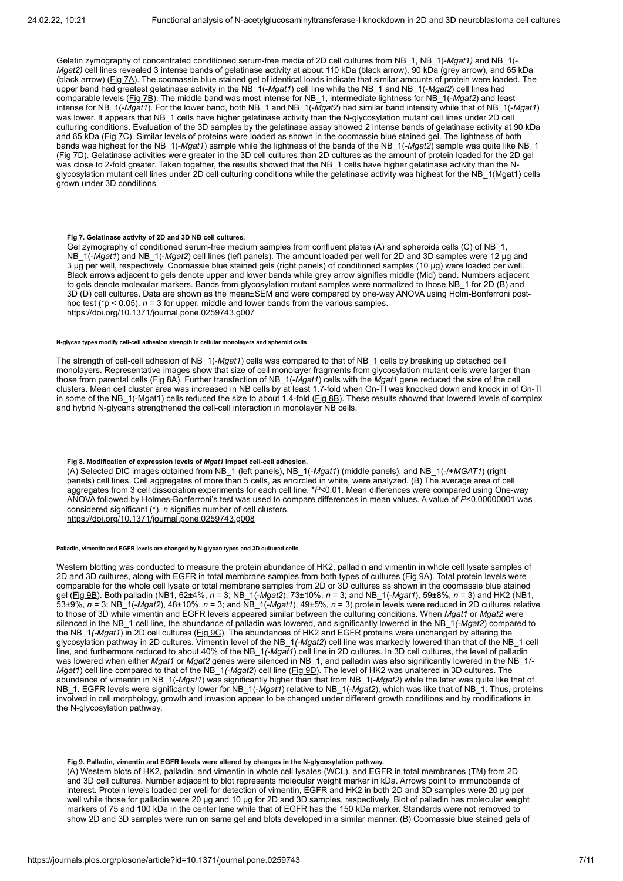Gelatin zymography of concentrated conditioned serum-free media of 2D cell cultures from NB\_1, NB\_1(-*Mgat1)* and NB\_1(- *Mgat2)* cell lines revealed 3 intense bands of gelatinase activity at about 110 kDa (black arrow), 90 kDa (grey arrow), and 65 kDa (black arrow) [\(Fig 7A](#page-6-0)). The coomassie blue stained gel of identical loads indicate that similar amounts of protein were loaded. The upper band had greatest gelatinase activity in the NB\_1(-*Mgat1*) cell line while the NB\_1 and NB\_1(-*Mgat2*) cell lines had comparable levels ([Fig 7B\)](#page-6-0). The middle band was most intense for NB\_1, intermediate lightness for NB\_1(-*Mgat2*) and least intense for NB\_1(-*Mgat1*). For the lower band, both NB\_1 and NB\_1(-*Mgat2*) had similar band intensity while that of NB\_1(-*Mgat1*) was lower. It appears that NB\_1 cells have higher gelatinase activity than the N-glycosylation mutant cell lines under 2D cell culturing conditions. Evaluation of the 3D samples by the gelatinase assay showed 2 intense bands of gelatinase activity at 90 kDa and 65 kDa ([Fig 7C\)](#page-6-0). Similar levels of proteins were loaded as shown in the coomassie blue stained gel. The lightness of both bands was highest for the NB\_1(-*Mgat1*) sample while the lightness of the bands of the NB\_1(-*Mgat2*) sample was quite like NB\_1 ([Fig 7D](#page-6-0)). Gelatinase activities were greater in the 3D cell cultures than 2D cultures as the amount of protein loaded for the 2D gel was close to 2-fold greater. Taken together, the results showed that the NB\_1 cells have higher gelatinase activity than the Nglycosylation mutant cell lines under 2D cell culturing conditions while the gelatinase activity was highest for the NB\_1(Mgat1) cells grown under 3D conditions.

# <span id="page-6-0"></span>**Fig 7. Gelatinase activity of 2D and 3D NB cell cultures.**

Gel zymography of conditioned serum-free medium samples from confluent plates (A) and spheroids cells (C) of NB\_1, NB\_1(-*Mgat1*) and NB\_1(-*Mgat2*) cell lines (left panels). The amount loaded per well for 2D and 3D samples were 12 μg and 3 μg per well, respectively. Coomassie blue stained gels (right panels) of conditioned samples (10 μg) were loaded per well. Black arrows adjacent to gels denote upper and lower bands while grey arrow signifies middle (Mid) band. Numbers adjacent to gels denote molecular markers. Bands from glycosylation mutant samples were normalized to those NB\_1 for 2D (B) and 3D (D) cell cultures. Data are shown as the mean±SEM and were compared by one-way ANOVA using Holm-Bonferroni posthoc test (\*p < 0.05).  $n = 3$  for upper, middle and lower bands from the various samples. <https://doi.org/10.1371/journal.pone.0259743.g007>

#### **N-glycan types modify cell-cell adhesion strength in cellular monolayers and spheroid cells**

The strength of cell-cell adhesion of NB\_1(-*Mgat1*) cells was compared to that of NB\_1 cells by breaking up detached cell monolayers. Representative images show that size of cell monolayer fragments from glycosylation mutant cells were larger than those from parental cells [\(Fig 8A](#page-6-1)). Further transfection of NB\_1(-*Mgat1*) cells with the *Mgat1* gene reduced the size of the cell clusters. Mean cell cluster area was increased in NB cells by at least 1.7-fold when Gn-TI was knocked down and knock in of Gn-TI in some of the NB\_1(-Mgat1) cells reduced the size to about 1.4-fold ([Fig 8B](#page-6-1)). These results showed that lowered levels of complex and hybrid N-glycans strengthened the cell-cell interaction in monolayer NB cells.

# <span id="page-6-1"></span>**Fig 8. Modification of expression levels of** *Mgat1* **impact cell-cell adhesion.**

(A) Selected DIC images obtained from NB\_1 (left panels), NB\_1(-*Mgat1*) (middle panels), and NB\_1(-/+*MGAT1*) (right panels) cell lines. Cell aggregates of more than 5 cells, as encircled in white, were analyzed. (B) The average area of cell aggregates from 3 cell dissociation experiments for each cell line. \**P*<0.01. Mean differences were compared using One-way ANOVA followed by Holmes-Bonferroni's test was used to compare differences in mean values. A value of *P*<0.00000001 was considered significant (\*). *n* signifies number of cell clusters.

<https://doi.org/10.1371/journal.pone.0259743.g008>

#### **Palladin, vimentin and EGFR levels are changed by N-glycan types and 3D cultured cells**

Western blotting was conducted to measure the protein abundance of HK2, palladin and vimentin in whole cell lysate samples of 2D and 3D cultures, along with EGFR in total membrane samples from both types of cultures [\(Fig 9A](#page-6-2)). Total protein levels were comparable for the whole cell lysate or total membrane samples from 2D or 3D cultures as shown in the coomassie blue stained gel ([Fig 9B\)](#page-6-2). Both palladin (NB1, 62±4%, *n* = 3; NB\_1(-*Mgat2*), 73±10%, *n* = 3; and NB\_1(-*Mgat1*), 59±8%, *n* = 3) and HK2 (NB1, 53±9%, *n* = 3; NB\_1(-*Mgat2*), 48±10%, *n* = 3; and NB\_1(-*Mgat1*), 49±5%, *n* = 3) protein levels were reduced in 2D cultures relative to those of 3D while vimentin and EGFR levels appeared similar between the culturing conditions. When *Mgat1* or *Mgat2* were silenced in the NB\_1 cell line, the abundance of palladin was lowered, and significantly lowered in the NB\_1*(-Mgat2*) compared to the NB\_1*(-Mgat1*) in 2D cell cultures ([Fig 9C\)](#page-6-2). The abundances of HK2 and EGFR proteins were unchanged by altering the glycosylation pathway in 2D cultures. Vimentin level of the NB\_1*(-Mgat2*) cell line was markedly lowered than that of the NB\_1 cell line, and furthermore reduced to about 40% of the NB\_1*(-Mgat1*) cell line in 2D cultures. In 3D cell cultures, the level of palladin was lowered when either *Mgat1* or *Mgat2* genes were silenced in NB\_1, and palladin was also significantly lowered in the NB\_1*(- Mgat1*) cell line compared to that of the NB\_1*(-Mgat2*) cell line ([Fig 9D](#page-6-2)). The level of HK2 was unaltered in 3D cultures. The abundance of vimentin in NB\_1(-*Mgat1*) was significantly higher than that from NB\_1(-*Mgat2*) while the later was quite like that of NB\_1. EGFR levels were significantly lower for NB\_1(-*Mgat1*) relative to NB\_1(-*Mgat2*), which was like that of NB\_1. Thus, proteins involved in cell morphology, growth and invasion appear to be changed under different growth conditions and by modifications in the N-glycosylation pathway.

#### <span id="page-6-2"></span>**Fig 9. Palladin, vimentin and EGFR levels were altered by changes in the N-glycosylation pathway.**

(A) Western blots of HK2, palladin, and vimentin in whole cell lysates (WCL), and EGFR in total membranes (TM) from 2D and 3D cell cultures. Number adjacent to blot represents molecular weight marker in kDa. Arrows point to immunobands of interest. Protein levels loaded per well for detection of vimentin, EGFR and HK2 in both 2D and 3D samples were 20 μg per well while those for palladin were 20 μg and 10 μg for 2D and 3D samples, respectively. Blot of palladin has molecular weight markers of 75 and 100 kDa in the center lane while that of EGFR has the 150 kDa marker. Standards were not removed to show 2D and 3D samples were run on same gel and blots developed in a similar manner. (B) Coomassie blue stained gels of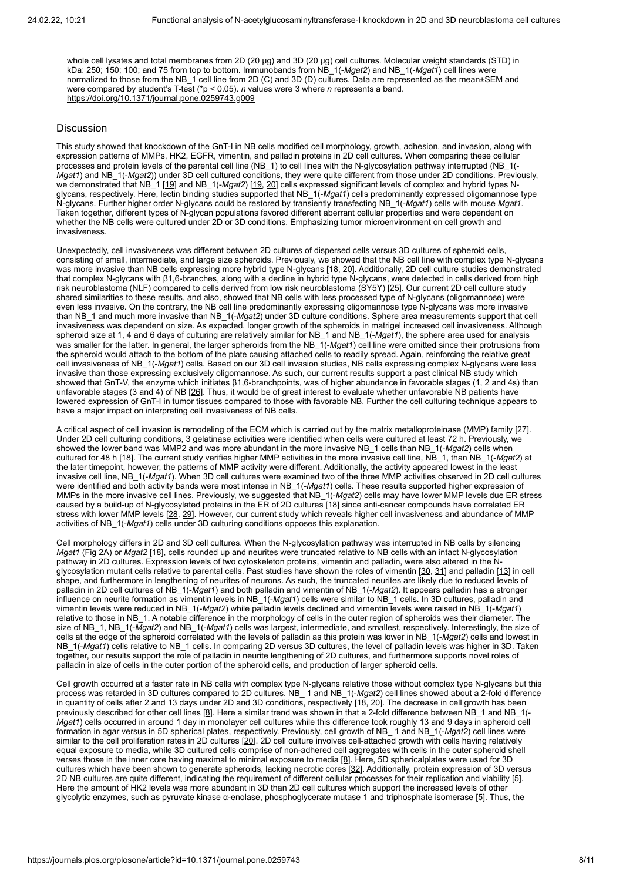whole cell lysates and total membranes from 2D (20 μg) and 3D (20 μg) cell cultures. Molecular weight standards (STD) in kDa: 250; 150; 100; and 75 from top to bottom. Immunobands from NB\_1(-*Mgat2*) and NB\_1(-*Mgat1*) cell lines were normalized to those from the NB\_1 cell line from 2D (C) and 3D (D) cultures. Data are represented as the mean±SEM and were compared by student's T-test (\*p < 0.05). *n* values were 3 where *n* represents a band. <https://doi.org/10.1371/journal.pone.0259743.g009>

# **Discussion**

This study showed that knockdown of the GnT-I in NB cells modified cell morphology, growth, adhesion, and invasion, along with expression patterns of MMPs, HK2, EGFR, vimentin, and palladin proteins in 2D cell cultures. When comparing these cellular processes and protein levels of the parental cell line (NB\_1) to cell lines with the N-glycosylation pathway interrupted (NB\_1(- *Mgat1*) and NB<sup>1</sup>(-*Mgat2*)) under 3D cell cultured conditions, they were quite different from those under 2D conditions. Previously, we demonstrated that NB<sup>1</sup> 1 [[19\]](#page-9-6) and NB 1(-*Mgat2*) [\[19](#page-9-6), [20\]](#page-9-7) cells expressed significant levels of complex and hybrid types Nglycans, respectively. Here, lectin binding studies supported that NB\_1(-*Mgat1*) cells predominantly expressed oligomannose type N-glycans. Further higher order N-glycans could be restored by transiently transfecting NB\_1(-*Mgat1*) cells with mouse *Mgat1*. Taken together, different types of N-glycan populations favored different aberrant cellular properties and were dependent on whether the NB cells were cultured under 2D or 3D conditions. Emphasizing tumor microenvironment on cell growth and invasiveness.

Unexpectedly, cell invasiveness was different between 2D cultures of dispersed cells versus 3D cultures of spheroid cells, consisting of small, intermediate, and large size spheroids. Previously, we showed that the NB cell line with complex type N-glycans was more invasive than NB cells expressing more hybrid type N-glycans [\[18](#page-9-5), [20\]](#page-9-7). Additionally, 2D cell culture studies demonstrated that complex N-glycans with β1,6-branches, along with a decline in hybrid type N-glycans, were detected in cells derived from high risk neuroblastoma (NLF) compared to cells derived from low risk neuroblastoma (SY5Y) <u>[[25](#page-9-12)</u>]. Our current 2D cell culture study shared similarities to these results, and also, showed that NB cells with less processed type of N-glycans (oligomannose) were even less invasive. On the contrary, the NB cell line predominantly expressing oligomannose type N-glycans was more invasive than NB\_1 and much more invasive than NB\_1(-*Mgat2*) under 3D culture conditions. Sphere area measurements support that cell invasiveness was dependent on size. As expected, longer growth of the spheroids in matrigel increased cell invasiveness. Although spheroid size at 1, 4 and 6 days of culturing are relatively similar for NB\_1 and NB\_1(-*Mgat1*), the sphere area used for analysis was smaller for the latter. In general, the larger spheroids from the NB\_1(-*Mgat1*) cell line were omitted since their protrusions from the spheroid would attach to the bottom of the plate causing attached cells to readily spread. Again, reinforcing the relative great cell invasiveness of NB\_1(-*Mgat1*) cells. Based on our 3D cell invasion studies, NB cells expressing complex N-glycans were less invasive than those expressing exclusively oligomannose. As such, our current results support a past clinical NB study which showed that GnT-V, the enzyme which initiates β1,6-branchpoints, was of higher abundance in favorable stages (1, 2 and 4s) than unfavorable stages (3 and 4) of NB [<u>[26\]](#page-9-13)</u>. Thus, it would be of great interest to evaluate whether unfavorable NB patients have lowered expression of GnT-I in tumor tissues compared to those with favorable NB. Further the cell culturing technique appears to have a major impact on interpreting cell invasiveness of NB cells.

A critical aspect of cell invasion is remodeling of the ECM which is carried out by the matrix metalloproteinase (MMP) family [\[27](#page-9-14)]. Under 2D cell culturing conditions, 3 gelatinase activities were identified when cells were cultured at least 72 h. Previously, we showed the lower band was MMP2 and was more abundant in the more invasive NB\_1 cells than NB\_1(-*Mgat2*) cells when cultured for 48 h [[18](#page-9-5)]. The current study verifies higher MMP activities in the more invasive cell line, NB\_1, than NB\_1(-*Mgat2*) at the later timepoint, however, the patterns of MMP activity were different. Additionally, the activity appeared lowest in the least invasive cell line, NB\_1(-*Mgat1*). When 3D cell cultures were examined two of the three MMP activities observed in 2D cell cultures were identified and both activity bands were most intense in NB\_1(-*Mgat1*) cells. These results supported higher expression of MMPs in the more invasive cell lines. Previously, we suggested that NB\_1(-*Mgat2*) cells may have lower MMP levels due ER stress caused by a build-up of N-glycosylated proteins in the ER of 2D cultures  $[18]$  $[18]$  since anti-cancer compounds have correlated ER stress with lower MMP levels [\[28](#page-9-15), [29](#page-9-16)]. However, our current study which reveals higher cell invasiveness and abundance of MMP activities of NB\_1(-*Mgat1*) cells under 3D culturing conditions opposes this explanation.

Cell morphology differs in 2D and 3D cell cultures. When the N-glycosylation pathway was interrupted in NB cells by silencing *Mgat1* [\(Fig 2A](#page-3-1)) or *Mgat2* [\[18](#page-9-5)], cells rounded up and neurites were truncated relative to NB cells with an intact N-glycosylation pathway in 2D cultures. Expression levels of two cytoskeleton proteins, vimentin and palladin, were also altered in the Nglycosylation mutant cells relative to parental cells. Past studies have shown the roles of vimentin [\[30](#page-10-0), [31\]](#page-10-1) and palladin [[13\]](#page-9-1) in cell shape, and furthermore in lengthening of neurites of neurons. As such, the truncated neurites are likely due to reduced levels of palladin in 2D cell cultures of NB\_1(-*Mgat1*) and both palladin and vimentin of NB\_1(-*Mgat2*). It appears palladin has a stronger influence on neurite formation as vimentin levels in NB\_1(-*Mgat1*) cells were similar to NB\_1 cells. In 3D cultures, palladin and vimentin levels were reduced in NB\_1(-*Mgat2*) while palladin levels declined and vimentin levels were raised in NB\_1(-*Mgat1*) relative to those in NB\_1. A notable difference in the morphology of cells in the outer region of spheroids was their diameter. The size of NB\_1, NB\_1(-*Mgat2*) and NB\_1(-*Mgat1*) cells was largest, intermediate, and smallest, respectively. Interestingly, the size of cells at the edge of the spheroid correlated with the levels of palladin as this protein was lower in NB\_1(-*Mgat2*) cells and lowest in NB\_1(-*Mgat1*) cells relative to NB\_1 cells. In comparing 2D versus 3D cultures, the level of palladin levels was higher in 3D. Taken together, our results support the role of palladin in neurite lengthening of 2D cultures, and furthermore supports novel roles of palladin in size of cells in the outer portion of the spheroid cells, and production of larger spheroid cells.

Cell growth occurred at a faster rate in NB cells with complex type N-glycans relative those without complex type N-glycans but this process was retarded in 3D cultures compared to 2D cultures. NB\_ 1 and NB\_1(-*Mgat2*) cell lines showed about a 2-fold difference in quantity of cells after 2 and 13 days under 2D and 3D conditions, respectively [<u>[18](#page-9-5), [20](#page-9-7)]</u>. The decrease in cell growth has been previously described for other cell lines [[8\]](#page-8-8). Here a similar trend was shown in that a 2-fold difference between NB\_1 and NB\_1(-*Mgat1*) cells occurred in around 1 day in monolayer cell cultures while this difference took roughly 13 and 9 days in spheroid cell formation in agar versus in 5D spherical plates, respectively. Previously, cell growth of NB\_ 1 and NB\_1(-*Mgat2*) cell lines were similar to the cell proliferation rates in 2D cultures [\[20](#page-9-7)]. 2D cell culture involves cell-attached growth with cells having relatively equal exposure to media, while 3D cultured cells comprise of non-adhered cell aggregates with cells in the outer spheroid shell verses those in the inner core having maximal to minimal exposure to media [\[8\]](#page-8-8). Here, 5D sphericalplates were used for 3D cultures which have been shown to generate spheroids, lacking necrotic cores [\[32](#page-10-2)]. Additionally, protein expression of 3D versus 2D NB cultures are quite different, indicating the requirement of different cellular processes for their replication and viability [[5](#page-8-5)]. Here the amount of HK2 levels was more abundant in 3D than 2D cell cultures which support the increased levels of other glycolytic enzymes, such as pyruvate kinase α-enolase, phosphoglycerate mutase 1 and triphosphate isomerase [[5](#page-8-5)]. Thus, the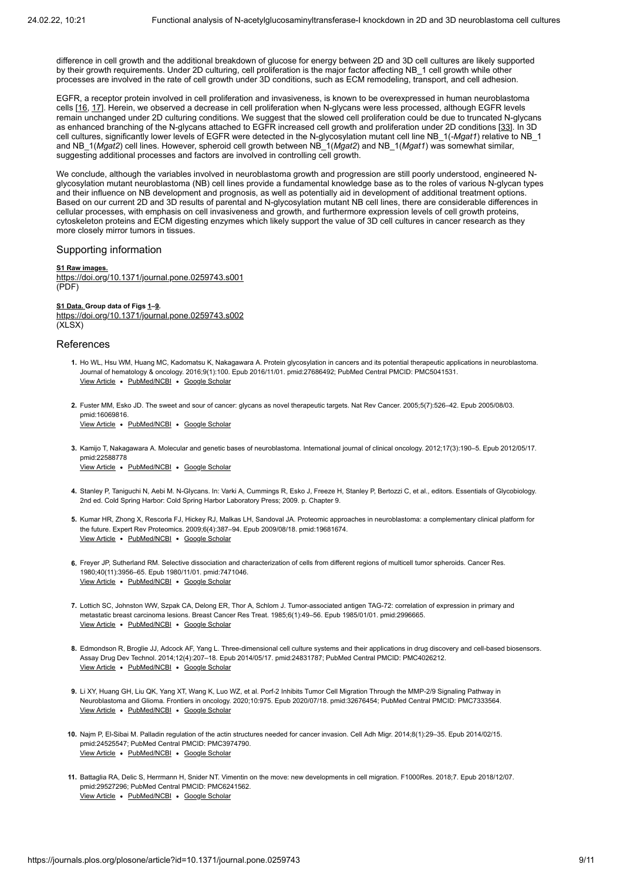difference in cell growth and the additional breakdown of glucose for energy between 2D and 3D cell cultures are likely supported by their growth requirements. Under 2D culturing, cell proliferation is the major factor affecting NB\_1 cell growth while other processes are involved in the rate of cell growth under 3D conditions, such as ECM remodeling, transport, and cell adhesion.

EGFR, a receptor protein involved in cell proliferation and invasiveness, is known to be overexpressed in human neuroblastoma cells [[16,](#page-9-17) [17\]](#page-9-4). Herein, we observed a decrease in cell proliferation when N-glycans were less processed, although EGFR levels remain unchanged under 2D culturing conditions. We suggest that the slowed cell proliferation could be due to truncated N-glycans as enhanced branching of the N-glycans attached to EGFR increased cell growth and proliferation under 2D conditions [\[33](#page-10-3)]. In 3D cell cultures, significantly lower levels of EGFR were detected in the N-glycosylation mutant cell line NB\_1(*-Mgat1*) relative to NB\_1 and NB\_1(*Mgat2*) cell lines. However, spheroid cell growth between NB\_1(*Mgat2*) and NB\_1(*Mgat1*) was somewhat similar, suggesting additional processes and factors are involved in controlling cell growth.

We conclude, although the variables involved in neuroblastoma growth and progression are still poorly understood, engineered Nglycosylation mutant neuroblastoma (NB) cell lines provide a fundamental knowledge base as to the roles of various N-glycan types and their influence on NB development and prognosis, as well as potentially aid in development of additional treatment options. Based on our current 2D and 3D results of parental and N-glycosylation mutant NB cell lines, there are considerable differences in cellular processes, with emphasis on cell invasiveness and growth, and furthermore expression levels of cell growth proteins, cytoskeleton proteins and ECM digesting enzymes which likely support the value of 3D cell cultures in cancer research as they more closely mirror tumors in tissues.

# <span id="page-8-0"></span>Supporting information

**[S1 Raw images.](https://journals.plos.org/plosone/article/file?type=supplementary&id=10.1371/journal.pone.0259743.s001)** <https://doi.org/10.1371/journal.pone.0259743.s001> (PDF)

**[S1 Data. G](https://journals.plos.org/plosone/article/file?type=supplementary&id=10.1371/journal.pone.0259743.s002)roup data of Figs [1–](#page-3-0)[9.](#page-6-2)** <https://doi.org/10.1371/journal.pone.0259743.s002>  $(XLSX)$ 

# References

- <span id="page-8-1"></span>**1.** Ho WL, Hsu WM, Huang MC, Kadomatsu K, Nakagawara A. Protein glycosylation in cancers and its potential therapeutic applications in neuroblastoma. [View Article](https://doi.org/10.1186/s13045-016-0334-6) · [PubMed/NCBI](http://www.ncbi.nlm.nih.gov/pubmed/27686492) · [Google Scholar](http://scholar.google.com/scholar?q=Protein+glycosylation+in+cancers+and+its+potential+therapeutic+applications+in+neuroblastoma+Ho+2016) Journal of hematology & oncology. 2016;9(1):100. Epub 2016/11/01. pmid:27686492; PubMed Central PMCID: PMC5041531.
- <span id="page-8-2"></span>**2.** Fuster MM, Esko JD. The sweet and sour of cancer: glycans as novel therapeutic targets. Nat Rev Cancer. 2005;5(7):526–42. Epub 2005/08/03. [View Article](https://doi.org/10.1038/nrc1649) . [PubMed/NCBI](http://www.ncbi.nlm.nih.gov/pubmed/16069816) . [Google Scholar](http://scholar.google.com/scholar?q=The+sweet+and+sour+of+cancer%3A+glycans+as+novel+therapeutic+targets+Fuster+2005) pmid:16069816.
- <span id="page-8-3"></span>**3.** Kamijo T, Nakagawara A. Molecular and genetic bases of neuroblastoma. International journal of clinical oncology. 2012;17(3):190–5. Epub 2012/05/17. [View Article](https://doi.org/10.1007/s10147-012-0415-7) · [PubMed/NCBI](http://www.ncbi.nlm.nih.gov/pubmed/22588778) · [Google Scholar](http://scholar.google.com/scholar?q=Molecular+and+genetic+bases+of+neuroblastoma+Kamijo+2012) pmid:22588778
- <span id="page-8-4"></span>**4.** Stanley P, Taniguchi N, Aebi M. N-Glycans. In: Varki A, Cummings R, Esko J, Freeze H, Stanley P, Bertozzi C, et al., editors. Essentials of Glycobiology. 2nd ed. Cold Spring Harbor: Cold Spring Harbor Laboratory Press; 2009. p. Chapter 9.
- <span id="page-8-5"></span>**5.** Kumar HR, Zhong X, Rescorla FJ, Hickey RJ, Malkas LH, Sandoval JA. Proteomic approaches in neuroblastoma: a complementary clinical platform for [View Article](https://doi.org/10.1586/epr.09.58) · [PubMed/NCBI](http://www.ncbi.nlm.nih.gov/pubmed/19681674) · [Google Scholar](http://scholar.google.com/scholar?q=Proteomic+approaches+in+neuroblastoma%3A+a+complementary+clinical+platform+for+the+future+Kumar+2009) the future. Expert Rev Proteomics. 2009;6(4):387–94. Epub 2009/08/18. pmid:19681674.
- <span id="page-8-6"></span>**6.** Freyer JP, Sutherland RM. Selective dissociation and characterization of cells from different regions of multicell tumor spheroids. Cancer Res. View Article . [PubMed/NCBI](http://www.ncbi.nlm.nih.gov/pubmed/7471046) . [Google Scholar](http://scholar.google.com/scholar?q=Selective+dissociation+and+characterization+of+cells+from+different+regions+of+multicell+tumor+spheroids+Freyer+1980) 1980;40(11):3956–65. Epub 1980/11/01. pmid:7471046.
- <span id="page-8-7"></span>**7.** Lottich SC, Johnston WW, Szpak CA, Delong ER, Thor A, Schlom J. Tumor-associated antigen TAG-72: correlation of expression in primary and [View Article](https://doi.org/10.1007/BF01806010) . [PubMed/NCBI](http://www.ncbi.nlm.nih.gov/pubmed/2996665) . [Google Scholar](http://scholar.google.com/scholar?q=Tumor-associated+antigen+TAG-72%3A+correlation+of+expression+in+primary+and+metastatic+breast+carcinoma+lesions+Lottich+1985) metastatic breast carcinoma lesions. Breast Cancer Res Treat. 1985;6(1):49–56. Epub 1985/01/01. pmid:2996665.
- <span id="page-8-8"></span>**8.** Edmondson R, Broglie JJ, Adcock AF, Yang L. Three-dimensional cell culture systems and their applications in drug discovery and cell-based biosensors. [View Article](https://doi.org/10.1089/adt.2014.573) • [PubMed/NCBI](http://www.ncbi.nlm.nih.gov/pubmed/24831787) • [Google Scholar](http://scholar.google.com/scholar?q=Three-dimensional+cell+culture+systems+and+their+applications+in+drug+discovery+and+cell-based+biosensors+Edmondson+2014) Assay Drug Dev Technol. 2014;12(4):207–18. Epub 2014/05/17. pmid:24831787; PubMed Central PMCID: PMC4026212.
- <span id="page-8-9"></span>**9.** Li XY, Huang GH, Liu QK, Yang XT, Wang K, Luo WZ, et al. Porf-2 Inhibits Tumor Cell Migration Through the MMP-2/9 Signaling Pathway in [View Article](https://doi.org/10.3389/fonc.2020.00975) · [PubMed/NCBI](http://www.ncbi.nlm.nih.gov/pubmed/32676454) · [Google Scholar](http://scholar.google.com/scholar?q=Porf-2+Inhibits+Tumor+Cell+Migration+Through+the+MMP-2%2F9+Signaling+Pathway+in+Neuroblastoma+and+Glioma+Li+2020) Neuroblastoma and Glioma. Frontiers in oncology. 2020;10:975. Epub 2020/07/18. pmid:32676454; PubMed Central PMCID: PMC7333564.
- **10.** Najm P, El-Sibai M. Palladin regulation of the actin structures needed for cancer invasion. Cell Adh Migr. 2014;8(1):29–35. Epub 2014/02/15. [View Article](https://doi.org/10.4161/cam.28024) • [PubMed/NCBI](http://www.ncbi.nlm.nih.gov/pubmed/24525547) • [Google Scholar](http://scholar.google.com/scholar?q=Palladin+regulation+of+the+actin+structures+needed+for+cancer+invasion+Najm+2014) pmid:24525547; PubMed Central PMCID: PMC3974790.
- <span id="page-8-10"></span>**11.** Battaglia RA, Delic S, Herrmann H, Snider NT. Vimentin on the move: new developments in cell migration. F1000Res. 2018;7. Epub 2018/12/07. [View Article](https://doi.org/10.12688/f1000research.13350.2) . [PubMed/NCBI](http://www.ncbi.nlm.nih.gov/pubmed/29527296) . [Google Scholar](http://scholar.google.com/scholar?q=Vimentin+on+the+move%3A+new+developments+in+cell+migration+Battaglia+2018) pmid:29527296; PubMed Central PMCID: PMC6241562.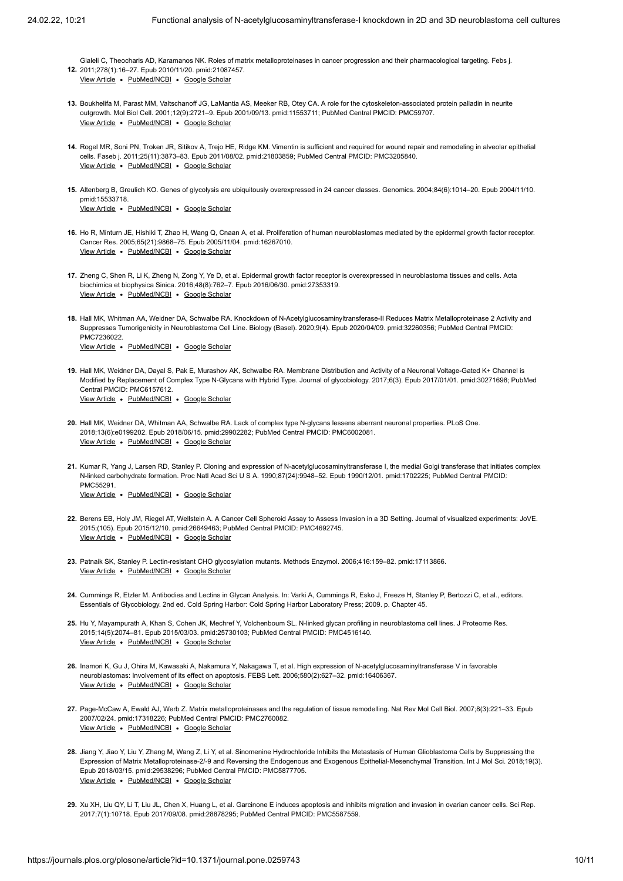- <span id="page-9-0"></span>**12.** 2011;278(1):16–27. Epub 2010/11/20. pmid:21087457. Gialeli C, Theocharis AD, Karamanos NK. Roles of matrix metalloproteinases in cancer progression and their pharmacological targeting. Febs j.
- [View Article](https://doi.org/10.1111/j.1742-4658.2010.07919.x) . [PubMed/NCBI](http://www.ncbi.nlm.nih.gov/pubmed/21087457) . [Google Scholar](http://scholar.google.com/scholar?q=Roles+of+matrix+metalloproteinases+in+cancer+progression+and+their+pharmacological+targeting+Gialeli+2011)
- <span id="page-9-1"></span>**13.** Boukhelifa M, Parast MM, Valtschanoff JG, LaMantia AS, Meeker RB, Otey CA. A role for the cytoskeleton-associated protein palladin in neurite [View Article](https://doi.org/10.1091/mbc.12.9.2721) . [PubMed/NCBI](http://www.ncbi.nlm.nih.gov/pubmed/11553711) . [Google Scholar](http://scholar.google.com/scholar?q=A+role+for+the+cytoskeleton-associated+protein+palladin+in+neurite+outgrowth+Boukhelifa+2001) outgrowth. Mol Biol Cell. 2001;12(9):2721–9. Epub 2001/09/13. pmid:11553711; PubMed Central PMCID: PMC59707.
- <span id="page-9-2"></span>**14.** Rogel MR, Soni PN, Troken JR, Sitikov A, Trejo HE, Ridge KM. Vimentin is sufficient and required for wound repair and remodeling in alveolar epithelial [View Article](https://doi.org/10.1096/fj.10-170795) . [PubMed/NCBI](http://www.ncbi.nlm.nih.gov/pubmed/21803859) . [Google Scholar](http://scholar.google.com/scholar?q=Vimentin+is+sufficient+and+required+for+wound+repair+and+remodeling+in+alveolar+epithelial+cells+Rogel+2011) cells. Faseb j. 2011;25(11):3873–83. Epub 2011/08/02. pmid:21803859; PubMed Central PMCID: PMC3205840.
- <span id="page-9-3"></span>**15.** Altenberg B, Greulich KO. Genes of glycolysis are ubiquitously overexpressed in 24 cancer classes. Genomics. 2004;84(6):1014–20. Epub 2004/11/10. pmid:15533718.

[View Article](https://doi.org/10.1016/j.ygeno.2004.08.010) • [PubMed/NCBI](http://www.ncbi.nlm.nih.gov/pubmed/15533718) • [Google Scholar](http://scholar.google.com/scholar?q=Genes+of+glycolysis+are+ubiquitously+overexpressed+in+24+cancer+classes+Altenberg+2004)

- <span id="page-9-17"></span>**16.** Ho R, Minturn JE, Hishiki T, Zhao H, Wang Q, Cnaan A, et al. Proliferation of human neuroblastomas mediated by the epidermal growth factor receptor. [View Article](https://doi.org/10.1158/0008-5472.CAN-04-2426) · [PubMed/NCBI](http://www.ncbi.nlm.nih.gov/pubmed/16267010) · [Google Scholar](http://scholar.google.com/scholar?q=Proliferation+of+human+neuroblastomas+mediated+by+the+epidermal+growth+factor+receptor+Ho+2005) Cancer Res. 2005;65(21):9868–75. Epub 2005/11/04. pmid:16267010.
- <span id="page-9-4"></span>**17.** Zheng C, Shen R, Li K, Zheng N, Zong Y, Ye D, et al. Epidermal growth factor receptor is overexpressed in neuroblastoma tissues and cells. Acta [View Article](https://doi.org/10.1093/abbs/gmw064) • [PubMed/NCBI](http://www.ncbi.nlm.nih.gov/pubmed/27353319) • [Google Scholar](http://scholar.google.com/scholar?q=Epidermal+growth+factor+receptor+is+overexpressed+in+neuroblastoma+tissues+and+cells+Zheng+2016) biochimica et biophysica Sinica. 2016;48(8):762–7. Epub 2016/06/30. pmid:27353319.
- <span id="page-9-5"></span>**18.** Hall MK, Whitman AA, Weidner DA, Schwalbe RA. Knockdown of N-Acetylglucosaminyltransferase-II Reduces Matrix Metalloproteinase 2 Activity and [View Article](https://doi.org/10.3390/biology9040071) . [PubMed/NCBI](http://www.ncbi.nlm.nih.gov/pubmed/32260356) . [Google Scholar](http://scholar.google.com/scholar?q=Knockdown+of+N-Acetylglucosaminyltransferase-II+Reduces+Matrix+Metalloproteinase+2+Activity+and+Suppresses+Tumorigenicity+in+Neuroblastoma+Cell+Line+Hall+2020) Suppresses Tumorigenicity in Neuroblastoma Cell Line. Biology (Basel). 2020;9(4). Epub 2020/04/09. pmid:32260356; PubMed Central PMCID: PMC7236022.
- <span id="page-9-6"></span>**19.** Hall MK, Weidner DA, Dayal S, Pak E, Murashov AK, Schwalbe RA. Membrane Distribution and Activity of a Neuronal Voltage-Gated K+ Channel is [View Article](https://doi.org/10.4172/2168-958X.1000128) • [PubMed/NCBI](http://www.ncbi.nlm.nih.gov/pubmed/30271698) • [Google Scholar](http://scholar.google.com/scholar?q=Membrane+Distribution+and+Activity+of+a+Neuronal+Voltage-Gated+K%2B+Channel+is+Modified+by+Replacement+of+Complex+Type+N-Glycans+with+Hybrid+Type+Hall+2017) Modified by Replacement of Complex Type N-Glycans with Hybrid Type. Journal of glycobiology. 2017;6(3). Epub 2017/01/01. pmid:30271698; PubMed Central PMCID: PMC6157612.
- <span id="page-9-7"></span>**20.** Hall MK, Weidner DA, Whitman AA, Schwalbe RA. Lack of complex type N-glycans lessens aberrant neuronal properties. PLoS One. [View Article](https://doi.org/10.1371/journal.pone.0199202) · [PubMed/NCBI](http://www.ncbi.nlm.nih.gov/pubmed/29902282) · [Google Scholar](http://scholar.google.com/scholar?q=Lack+of+complex+type+N-glycans+lessens+aberrant+neuronal+properties+Hall+2018) 2018;13(6):e0199202. Epub 2018/06/15. pmid:29902282; PubMed Central PMCID: PMC6002081.
- <span id="page-9-8"></span>**21.** Kumar R, Yang J, Larsen RD, Stanley P. Cloning and expression of N-acetylglucosaminyltransferase I, the medial Golgi transferase that initiates complex N-linked carbohydrate formation. Proc Natl Acad Sci U S A. 1990;87(24):9948–52. Epub 1990/12/01. pmid:1702225; PubMed Central PMCID: PMC55291.

[View Article](https://doi.org/10.1073/pnas.87.24.9948) . [PubMed/NCBI](http://www.ncbi.nlm.nih.gov/pubmed/1702225) . [Google Scholar](http://scholar.google.com/scholar?q=Cloning+and+expression+of+N-acetylglucosaminyltransferase+I%2C+the+medial+Golgi+transferase+that+initiates+complex+N-linked+carbohydrate+formation+Kumar+1990)

- <span id="page-9-9"></span>**22.** Berens EB, Holy JM, Riegel AT, Wellstein A. A Cancer Cell Spheroid Assay to Assess Invasion in a 3D Setting. Journal of visualized experiments: JoVE. [View Article](https://doi.org/10.3791/53409) . [PubMed/NCBI](http://www.ncbi.nlm.nih.gov/pubmed/26649463) . [Google Scholar](http://scholar.google.com/scholar?q=A+Cancer+Cell+Spheroid+Assay+to+Assess+Invasion+in+a+3D+Setting+Berens+2015) 2015;(105). Epub 2015/12/10. pmid:26649463; PubMed Central PMCID: PMC4692745.
- <span id="page-9-10"></span>**23.** Patnaik SK, Stanley P. Lectin-resistant CHO glycosylation mutants. Methods Enzymol. 2006;416:159–82. pmid:17113866. [View Article](https://doi.org/10.1016/S0076-6879(06)16011-5) · [PubMed/NCBI](http://www.ncbi.nlm.nih.gov/pubmed/17113866) · [Google Scholar](http://scholar.google.com/scholar?q=Lectin-resistant+CHO+glycosylation+mutants+Patnaik+2006)
- <span id="page-9-11"></span>**24.** Cummings R, Etzler M. Antibodies and Lectins in Glycan Analysis. In: Varki A, Cummings R, Esko J, Freeze H, Stanley P, Bertozzi C, et al., editors. Essentials of Glycobiology. 2nd ed. Cold Spring Harbor: Cold Spring Harbor Laboratory Press; 2009. p. Chapter 45.
- <span id="page-9-12"></span>**25.** Hu Y, Mayampurath A, Khan S, Cohen JK, Mechref Y, Volchenboum SL. N-linked glycan profiling in neuroblastoma cell lines. J Proteome Res. [View Article](https://doi.org/10.1021/pr5011718) · [PubMed/NCBI](http://www.ncbi.nlm.nih.gov/pubmed/25730103) · [Google Scholar](http://scholar.google.com/scholar?q=N-linked+glycan+profiling+in+neuroblastoma+cell+lines+Hu+2015) 2015;14(5):2074–81. Epub 2015/03/03. pmid:25730103; PubMed Central PMCID: PMC4516140.
- <span id="page-9-13"></span>**26.** Inamori K, Gu J, Ohira M, Kawasaki A, Nakamura Y, Nakagawa T, et al. High expression of N-acetylglucosaminyltransferase V in favorable [View Article](https://doi.org/10.1016/j.febslet.2005.12.089) . [PubMed/NCBI](http://www.ncbi.nlm.nih.gov/pubmed/16406367) . [Google Scholar](http://scholar.google.com/scholar?q=High+expression+of+N-acetylglucosaminyltransferase+V+in+favorable+neuroblastomas%3A+Involvement+of+its+effect+on+apoptosis+Inamori+2006) neuroblastomas: Involvement of its effect on apoptosis. FEBS Lett. 2006;580(2):627–32. pmid:16406367.
- <span id="page-9-14"></span>**27.** Page-McCaw A, Ewald AJ, Werb Z. Matrix metalloproteinases and the regulation of tissue remodelling. Nat Rev Mol Cell Biol. 2007;8(3):221–33. Epub [View Article](https://doi.org/10.1038/nrm2125) . [PubMed/NCBI](http://www.ncbi.nlm.nih.gov/pubmed/17318226) . [Google Scholar](http://scholar.google.com/scholar?q=Matrix+metalloproteinases+and+the+regulation+of+tissue+remodelling+Page-McCaw+2007) 2007/02/24. pmid:17318226; PubMed Central PMCID: PMC2760082.
- <span id="page-9-15"></span>**28.** Jiang Y, Jiao Y, Liu Y, Zhang M, Wang Z, Li Y, et al. Sinomenine Hydrochloride Inhibits the Metastasis of Human Glioblastoma Cells by Suppressing the [View Article](https://doi.org/10.3390/ijms19030844) . [PubMed/NCBI](http://www.ncbi.nlm.nih.gov/pubmed/29538296) . [Google Scholar](http://scholar.google.com/scholar?q=Sinomenine+Hydrochloride+Inhibits+the+Metastasis+of+Human+Glioblastoma+Cells+by+Suppressing+the+Expression+of+Matrix+Metalloproteinase-2%2F-9+and+Reversing+the+Endogenous+and+Exogenous+Epithelial-Mesenchymal+Transition+Jiang+2018) Expression of Matrix Metalloproteinase-2/-9 and Reversing the Endogenous and Exogenous Epithelial-Mesenchymal Transition. Int J Mol Sci. 2018;19(3). Epub 2018/03/15. pmid:29538296; PubMed Central PMCID: PMC5877705.
- <span id="page-9-16"></span>**29.** Xu XH, Liu QY, Li T, Liu JL, Chen X, Huang L, et al. Garcinone E induces apoptosis and inhibits migration and invasion in ovarian cancer cells. Sci Rep. 2017;7(1):10718. Epub 2017/09/08. pmid:28878295; PubMed Central PMCID: PMC5587559.